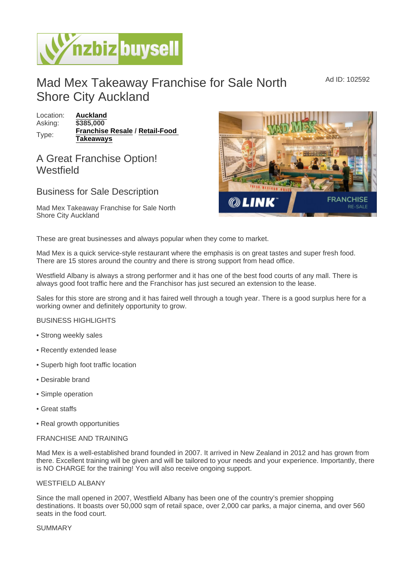Ad ID: 102592

# Mad Mex Takeaway Franchise for Sale North Shore City Auckland

Location: [Auckland](https://www.nzbizbuysell.co.nz/businesses-for-sale/location/Auckland) Asking: \$385,000 Type: [Franchise Resale](https://www.nzbizbuysell.co.nz/businesses-for-sale/Franchise-Resale/New-Zealand) / Retail-Food [Takeaways](https://www.nzbizbuysell.co.nz/businesses-for-sale/Retail-Food-Takeaways/New-Zealand)

## A Great Franchise Option! Westfield

### Business for Sale Description

Mad Mex Takeaway Franchise for Sale North Shore City Auckland

These are great businesses and always popular when they come to market.

Mad Mex is a quick service-style restaurant where the emphasis is on great tastes and super fresh food. There are 15 stores around the country and there is strong support from head office.

Westfield Albany is always a strong performer and it has one of the best food courts of any mall. There is always good foot traffic here and the Franchisor has just secured an extension to the lease.

Sales for this store are strong and it has faired well through a tough year. There is a good surplus here for a working owner and definitely opportunity to grow.

#### BUSINESS HIGHLIGHTS

- Strong weekly sales
- Recently extended lease
- Superb high foot traffic location
- Desirable brand
- Simple operation
- Great staffs
- Real growth opportunities

#### FRANCHISE AND TRAINING

Mad Mex is a well-established brand founded in 2007. It arrived in New Zealand in 2012 and has grown from there. Excellent training will be given and will be tailored to your needs and your experience. Importantly, there is NO CHARGE for the training! You will also receive ongoing support.

#### WESTFIELD ALBANY

Since the mall opened in 2007, Westfield Albany has been one of the country's premier shopping destinations. It boasts over 50,000 sqm of retail space, over 2,000 car parks, a major cinema, and over 560 seats in the food court.

#### SUMMARY